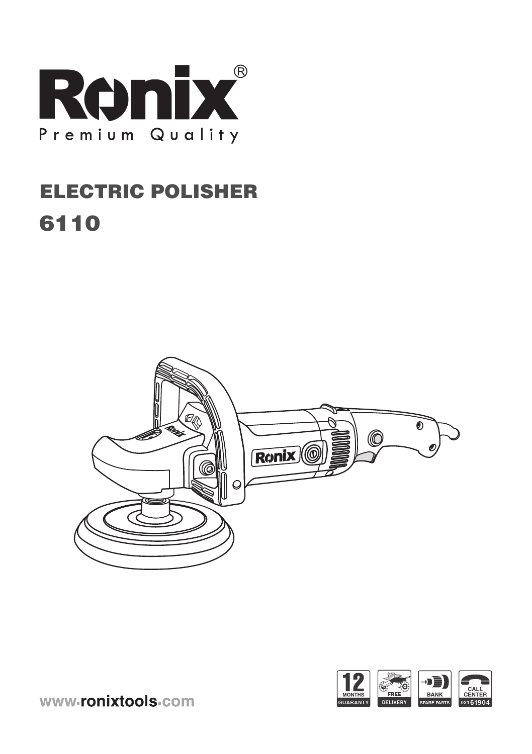

# 6110 ELECTRIC POLISHER





www-ronixtools-com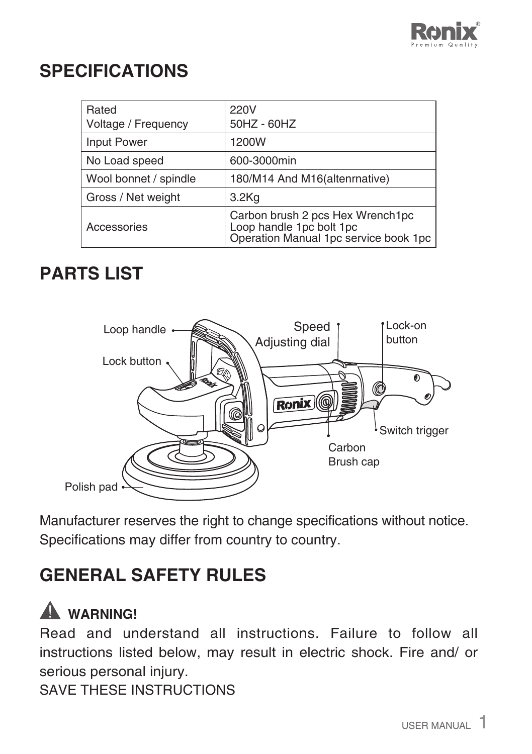

### **SPECIFICATIONS**

| Rated<br>Voltage / Frequency | 220V<br>50HZ - 60HZ                                                                                   |
|------------------------------|-------------------------------------------------------------------------------------------------------|
| Input Power                  | 1200W                                                                                                 |
| No Load speed                | 600-3000min                                                                                           |
| Wool bonnet / spindle        | 180/M14 And M16(altenrnative)                                                                         |
| Gross / Net weight           | $3.2$ Kg                                                                                              |
| Accessories                  | Carbon brush 2 pcs Hex Wrench1pc<br>Loop handle 1pc bolt 1pc<br>Operation Manual 1pc service book 1pc |

### **PARTS LIST**



Manufacturer reserves the right to change specifications without notice. Specifications may differ from country to country.

## **GENERAL SAFETY RULES**

## A WARNING!

Read and understand all instructions. Failure to follow all instructions listed below, may result in electric shock. Fire and/ or serious personal injury.

SAVE THESE INSTRUCTIONS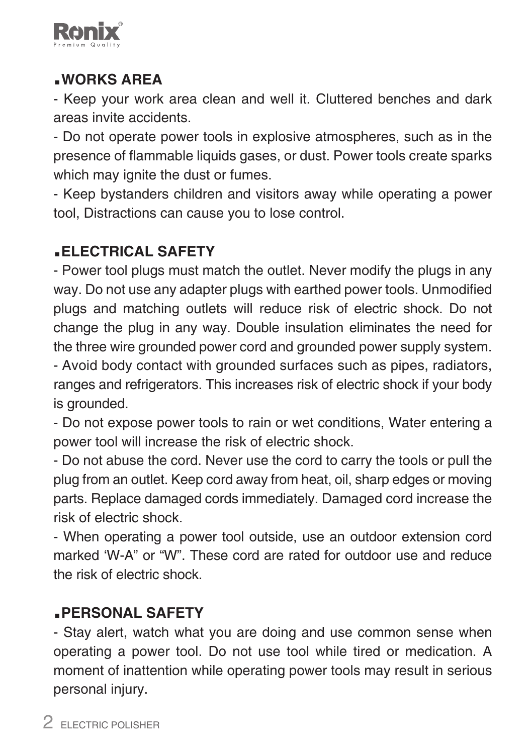

#### **.WORKS AREA**

- Keep your work area clean and well it. Cluttered benches and dark areas invite accidents.

- Do not operate power tools in explosive atmospheres, such as in the presence of flammable liquids gases, or dust. Power tools create sparks which may ignite the dust or fumes.

- Keep bystanders children and visitors away while operating a power tool, Distractions can cause you to lose control.

### **.ELECTRICAL SAFETY**

- Power tool plugs must match the outlet. Never modify the plugs in any way. Do not use any adapter plugs with earthed power tools. Unmodified plugs and matching outlets will reduce risk of electric shock. Do not change the plug in any way. Double insulation eliminates the need for the three wire grounded power cord and grounded power supply system.

- Avoid body contact with grounded surfaces such as pipes, radiators, ranges and refrigerators. This increases risk of electric shock if your body is grounded.

- Do not expose power tools to rain or wet conditions, Water entering a power tool will increase the risk of electric shock.

- Do not abuse the cord. Never use the cord to carry the tools or pull the plug from an outlet. Keep cord away from heat, oil, sharp edges or moving parts. Replace damaged cords immediately. Damaged cord increase the risk of electric shock.

- When operating a power tool outside, use an outdoor extension cord marked 'W-A" or "W". These cord are rated for outdoor use and reduce the risk of electric shock.

### **.PERSONAL SAFETY**

- Stay alert, watch what you are doing and use common sense when operating a power tool. Do not use tool while tired or medication. A moment of inattention while operating power tools may result in serious personal injury.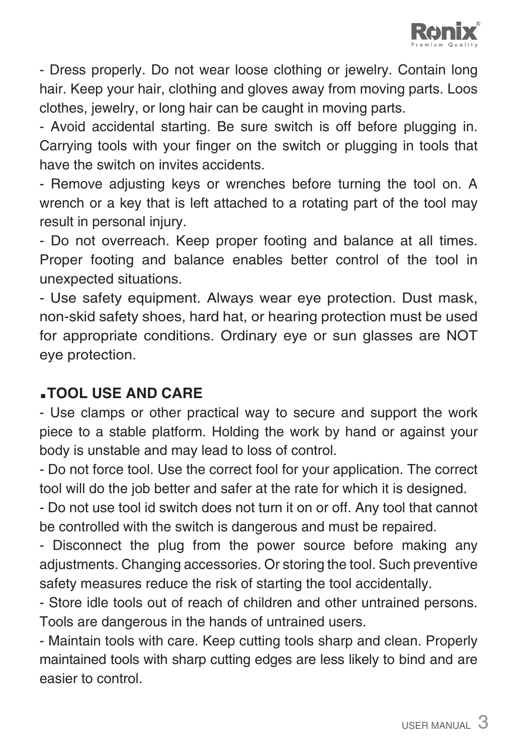

- Dress properly. Do not wear loose clothing or jewelry. Contain long hair. Keep your hair, clothing and gloves away from moving parts. Loos clothes, jewelry, or long hair can be caught in moving parts.

- Avoid accidental starting. Be sure switch is off before plugging in. Carrying tools with your finger on the switch or plugging in tools that have the switch on invites accidents.

- Remove adjusting keys or wrenches before turning the tool on. A wrench or a key that is left attached to a rotating part of the tool may result in personal injury.

- Do not overreach. Keep proper footing and balance at all times. Proper footing and balance enables better control of the tool in unexpected situations.

- Use safety equipment. Always wear eye protection. Dust mask, non-skid safety shoes, hard hat, or hearing protection must be used for appropriate conditions. Ordinary eye or sun glasses are NOT eye protection.

#### **.TOOL USE AND CARE**

- Use clamps or other practical way to secure and support the work piece to a stable platform. Holding the work by hand or against your body is unstable and may lead to loss of control.

- Do not force tool. Use the correct fool for your application. The correct tool will do the job better and safer at the rate for which it is designed.

- Do not use tool id switch does not turn it on or off. Any tool that cannot be controlled with the switch is dangerous and must be repaired.

- Disconnect the plug from the power source before making any adjustments. Changing accessories. Or storing the tool. Such preventive safety measures reduce the risk of starting the tool accidentally.

- Store idle tools out of reach of children and other untrained persons. Tools are dangerous in the hands of untrained users.

- Maintain tools with care. Keep cutting tools sharp and clean. Properly maintained tools with sharp cutting edges are less likely to bind and are easier to control.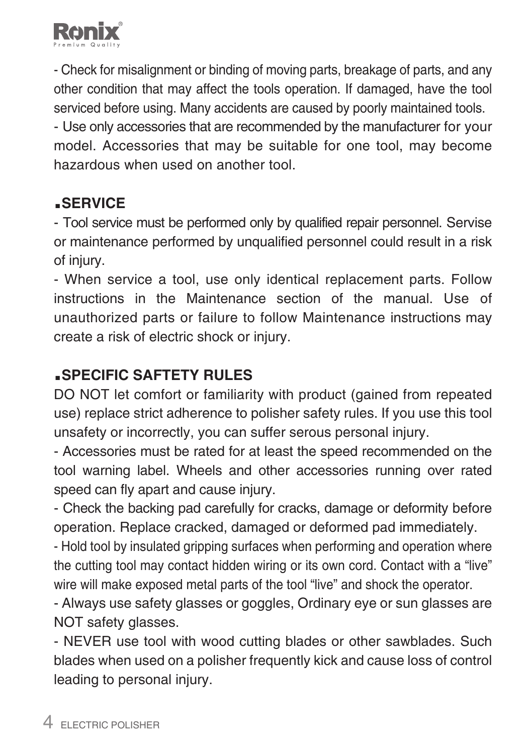

- Check for misalignment or binding of moving parts, breakage of parts, and any other condition that may affect the tools operation. If damaged, have the tool serviced before using. Many accidents are caused by poorly maintained tools.

- Use only accessories that are recommended by the manufacturer for your model. Accessories that may be suitable for one tool, may become hazardous when used on another tool.

### **.SERVICE**

- Tool service must be performed only by qualified repair personnel. Servise or maintenance performed by unqualified personnel could result in a risk of injury.

- When service a tool, use only identical replacement parts. Follow instructions in the Maintenance section of the manual. Use of unauthorized parts or failure to follow Maintenance instructions may create a risk of electric shock or injury.

### **.SPECIFIC SAFTETY RULES**

DO NOT let comfort or familiarity with product (gained from repeated use) replace strict adherence to polisher safety rules. If you use this tool unsafety or incorrectly, you can suffer serous personal injury.

- Accessories must be rated for at least the speed recommended on the tool warning label. Wheels and other accessories running over rated speed can fly apart and cause injury.

- Check the backing pad carefully for cracks, damage or deformity before operation. Replace cracked, damaged or deformed pad immediately.

- Hold tool by insulated gripping surfaces when performing and operation where the cutting tool may contact hidden wiring or its own cord. Contact with a "live" wire will make exposed metal parts of the tool "live" and shock the operator.

- Always use safety glasses or goggles, Ordinary eye or sun glasses are NOT safety glasses.

- NEVER use tool with wood cutting blades or other sawblades. Such blades when used on a polisher frequently kick and cause loss of control leading to personal injury.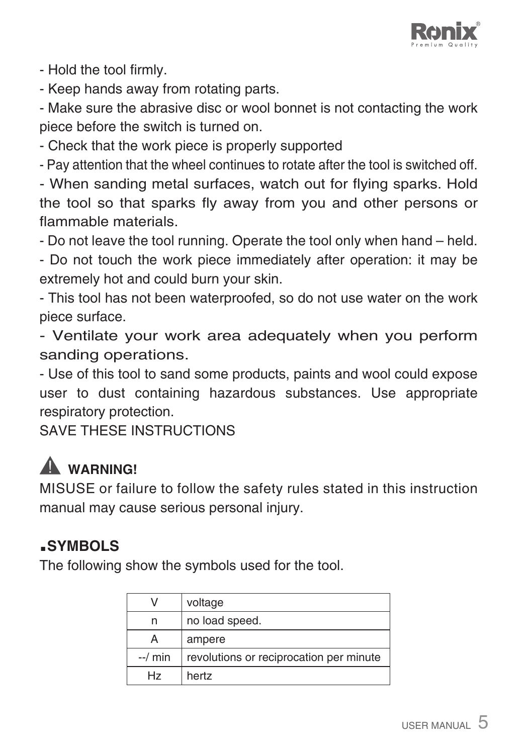

- Hold the tool firmly.

- Keep hands away from rotating parts.

- Make sure the abrasive disc or wool bonnet is not contacting the work piece before the switch is turned on.

- Check that the work piece is properly supported

- Pay attention that the wheel continues to rotate after the tool is switched off.

- When sanding metal surfaces, watch out for flying sparks. Hold the tool so that sparks fly away from you and other persons or flammable materials.

- Do not leave the tool running. Operate the tool only when hand – held.

- Do not touch the work piece immediately after operation: it may be extremely hot and could burn your skin.

- This tool has not been waterproofed, so do not use water on the work piece surface.

- Ventilate your work area adequately when you perform sanding operations.

- Use of this tool to sand some products, paints and wool could expose user to dust containing hazardous substances. Use appropriate respiratory protection.

SAVE THESE INSTRUCTIONS

## **WARNING!**

MISUSE or failure to follow the safety rules stated in this instruction manual may cause serious personal injury.

### **.SYMBOLS**

The following show the symbols used for the tool.

|                | voltage                                 |
|----------------|-----------------------------------------|
| n              | no load speed.                          |
|                | ampere                                  |
| $-$ / min      | revolutions or reciprocation per minute |
| H <sub>z</sub> | hertz                                   |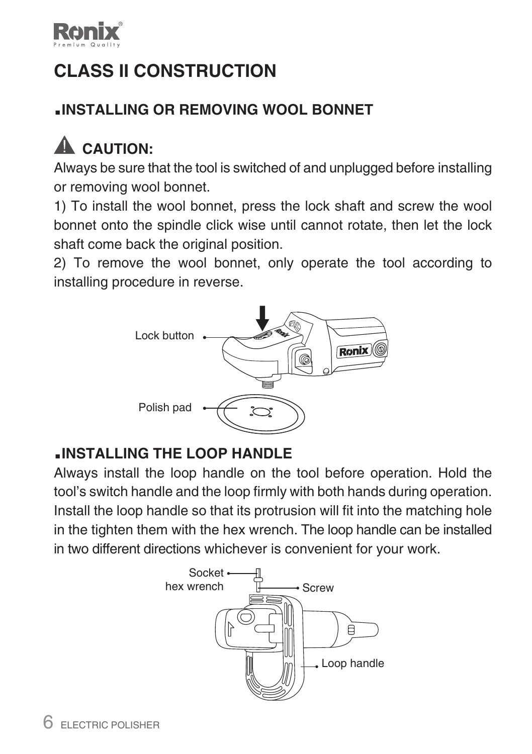

## **CLASS II CONSTRUCTION**

### **.INSTALLING OR REMOVING WOOL BONNET**

## **A** CAUTION:

Always be sure that the tool is switched of and unplugged before installing or removing wool bonnet.

1) To install the wool bonnet, press the lock shaft and screw the wool bonnet onto the spindle click wise until cannot rotate, then let the lock shaft come back the original position.

2) To remove the wool bonnet, only operate the tool according to installing procedure in reverse.



### **.INSTALLING THE LOOP HANDLE**

Always install the loop handle on the tool before operation. Hold the tool's switch handle and the loop firmly with both hands during operation. Install the loop handle so that its protrusion will fit into the matching hole in the tighten them with the hex wrench. The loop handle can be installed in two different directions whichever is convenient for your work.

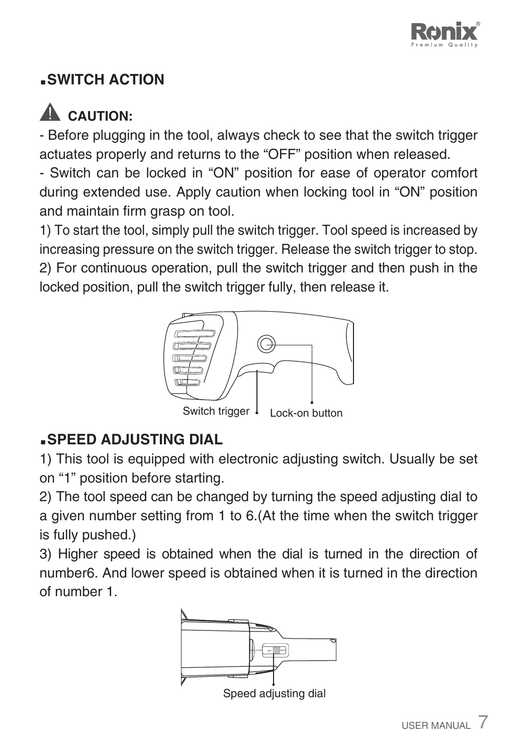

### **.SWITCH ACTION**

## A CAUTION:

- Before plugging in the tool, always check to see that the switch trigger actuates properly and returns to the "OFF" position when released.

- Switch can be locked in "ON" position for ease of operator comfort during extended use. Apply caution when locking tool in "ON" position and maintain firm grasp on tool.

1) To start the tool, simply pull the switch trigger. Tool speed is increased by increasing pressure on the switch trigger. Release the switch trigger to stop. 2) For continuous operation, pull the switch trigger and then push in the locked position, pull the switch trigger fully, then release it.



### **.SPEED ADJUSTING DIAL**

1) This tool is equipped with electronic adjusting switch. Usually be set on "1" position before starting.

2) The tool speed can be changed by turning the speed adjusting dial to a given number setting from 1 to 6.(At the time when the switch trigger is fully pushed.)

3) Higher speed is obtained when the dial is turned in the direction of number6. And lower speed is obtained when it is turned in the direction of number 1.



Speed adjusting dial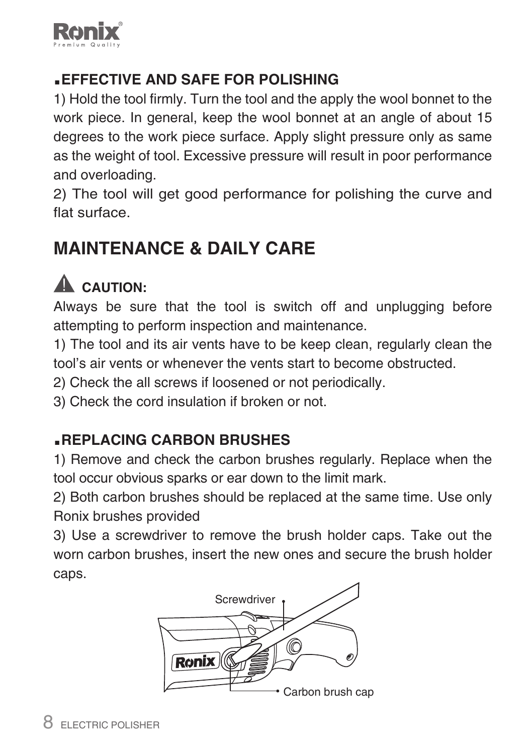

### **.EFFECTIVE AND SAFE FOR POLISHING**

1) Hold the tool firmly. Turn the tool and the apply the wool bonnet to the work piece. In general, keep the wool bonnet at an angle of about 15 degrees to the work piece surface. Apply slight pressure only as same as the weight of tool. Excessive pressure will result in poor performance and overloading.

2) The tool will get good performance for polishing the curve and flat surface.

### **MAINTENANCE & DAILY CARE**

## A CAUTION:

Always be sure that the tool is switch off and unplugging before attempting to perform inspection and maintenance.

1) The tool and its air vents have to be keep clean, regularly clean the tool's air vents or whenever the vents start to become obstructed.

2) Check the all screws if loosened or not periodically.

3) Check the cord insulation if broken or not.

### **.REPLACING CARBON BRUSHES**

1) Remove and check the carbon brushes regularly. Replace when the tool occur obvious sparks or ear down to the limit mark.

2) Both carbon brushes should be replaced at the same time. Use only Ronix brushes provided

3) Use a screwdriver to remove the brush holder caps. Take out the worn carbon brushes, insert the new ones and secure the brush holder caps.

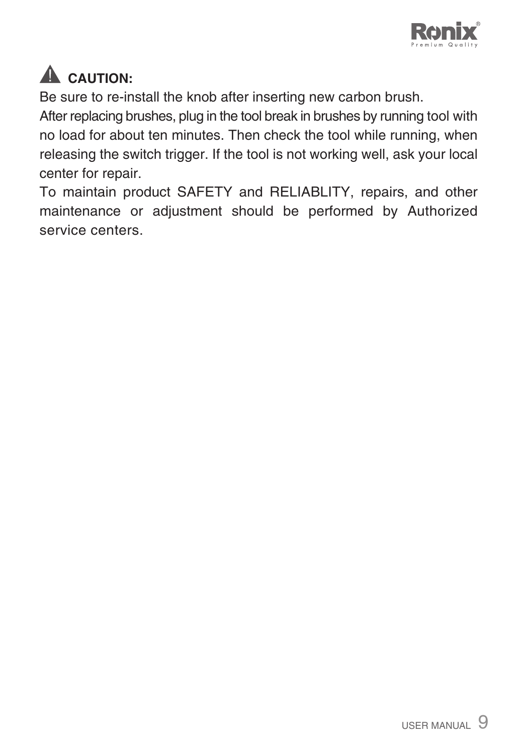

# A CAUTION:

Be sure to re-install the knob after inserting new carbon brush.

After replacing brushes, plug in the tool break in brushes by running tool with no load for about ten minutes. Then check the tool while running, when releasing the switch trigger. If the tool is not working well, ask your local center for repair.

To maintain product SAFETY and RELIABLITY, repairs, and other maintenance or adjustment should be performed by Authorized service centers.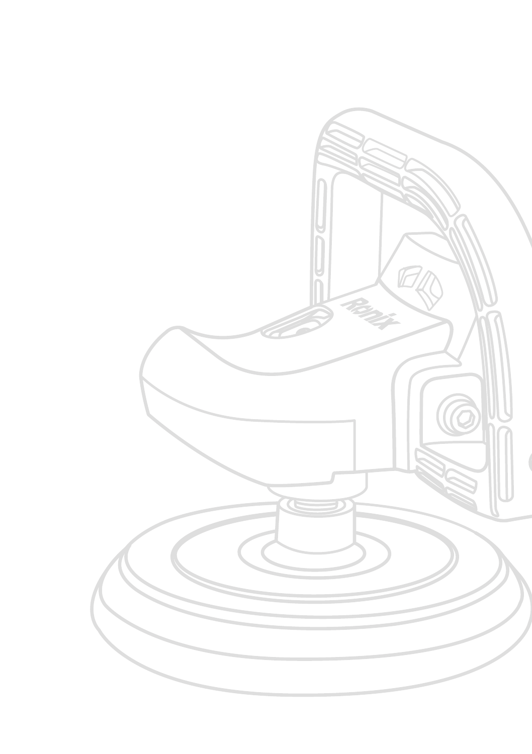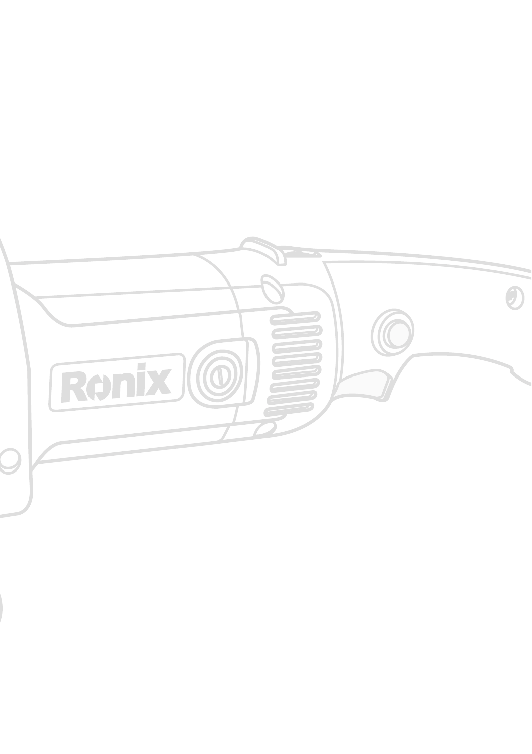